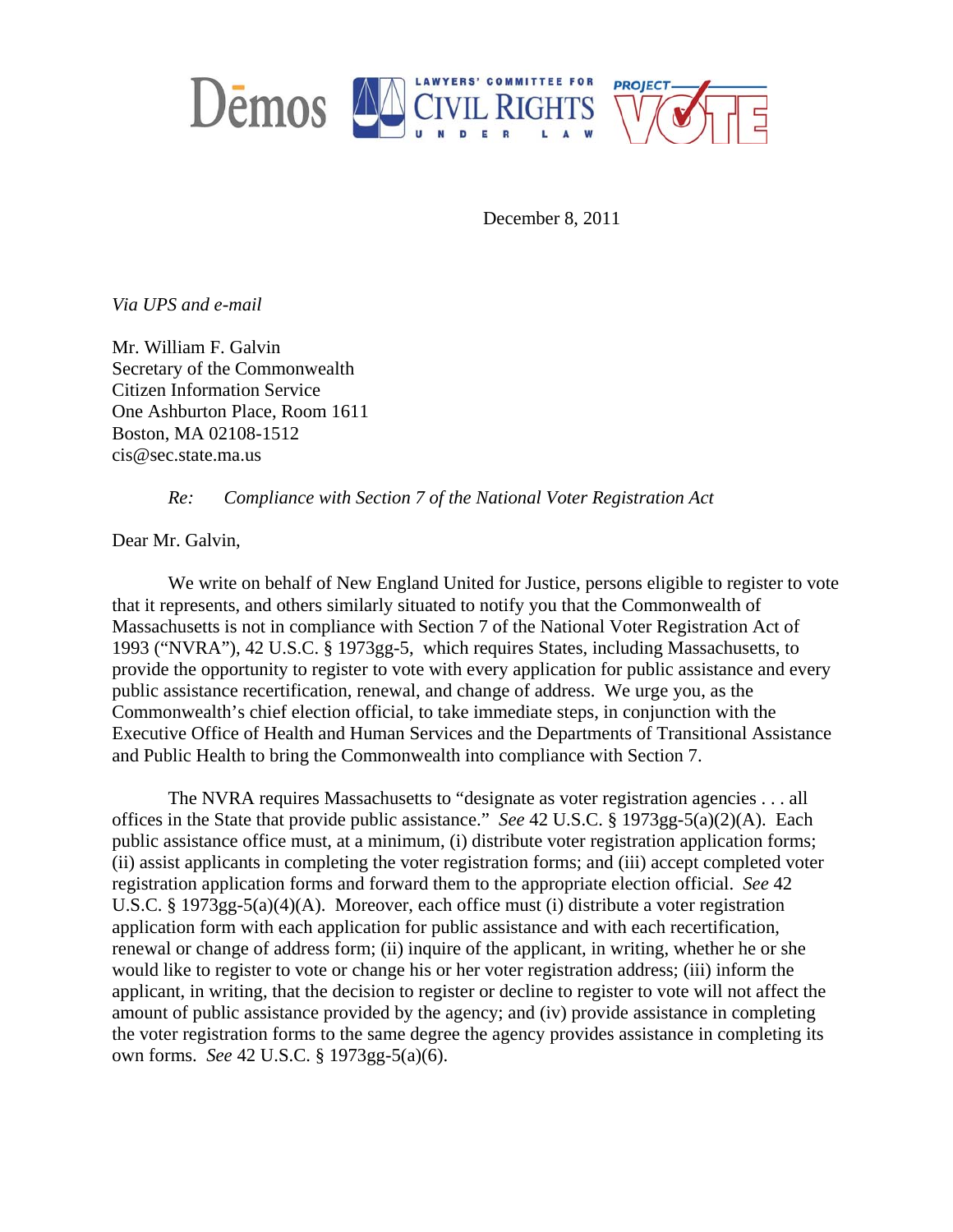

December 8, 2011

*Via UPS and e-mail* 

Mr. William F. Galvin Secretary of the Commonwealth Citizen Information Service One Ashburton Place, Room 1611 Boston, MA 02108-1512 cis@sec.state.ma.us

 *Re: Compliance with Section 7 of the National Voter Registration Act* 

Dear Mr. Galvin,

We write on behalf of New England United for Justice, persons eligible to register to vote that it represents, and others similarly situated to notify you that the Commonwealth of Massachusetts is not in compliance with Section 7 of the National Voter Registration Act of 1993 ("NVRA"), 42 U.S.C. § 1973gg-5, which requires States, including Massachusetts, to provide the opportunity to register to vote with every application for public assistance and every public assistance recertification, renewal, and change of address. We urge you, as the Commonwealth's chief election official, to take immediate steps, in conjunction with the Executive Office of Health and Human Services and the Departments of Transitional Assistance and Public Health to bring the Commonwealth into compliance with Section 7.

The NVRA requires Massachusetts to "designate as voter registration agencies . . . all offices in the State that provide public assistance." *See* 42 U.S.C. § 1973gg-5(a)(2)(A). Each public assistance office must, at a minimum, (i) distribute voter registration application forms; (ii) assist applicants in completing the voter registration forms; and (iii) accept completed voter registration application forms and forward them to the appropriate election official. *See* 42 U.S.C. § 1973gg-5(a)(4)(A). Moreover, each office must (i) distribute a voter registration application form with each application for public assistance and with each recertification, renewal or change of address form; (ii) inquire of the applicant, in writing, whether he or she would like to register to vote or change his or her voter registration address; (iii) inform the applicant, in writing, that the decision to register or decline to register to vote will not affect the amount of public assistance provided by the agency; and (iv) provide assistance in completing the voter registration forms to the same degree the agency provides assistance in completing its own forms. *See* 42 U.S.C. § 1973gg-5(a)(6).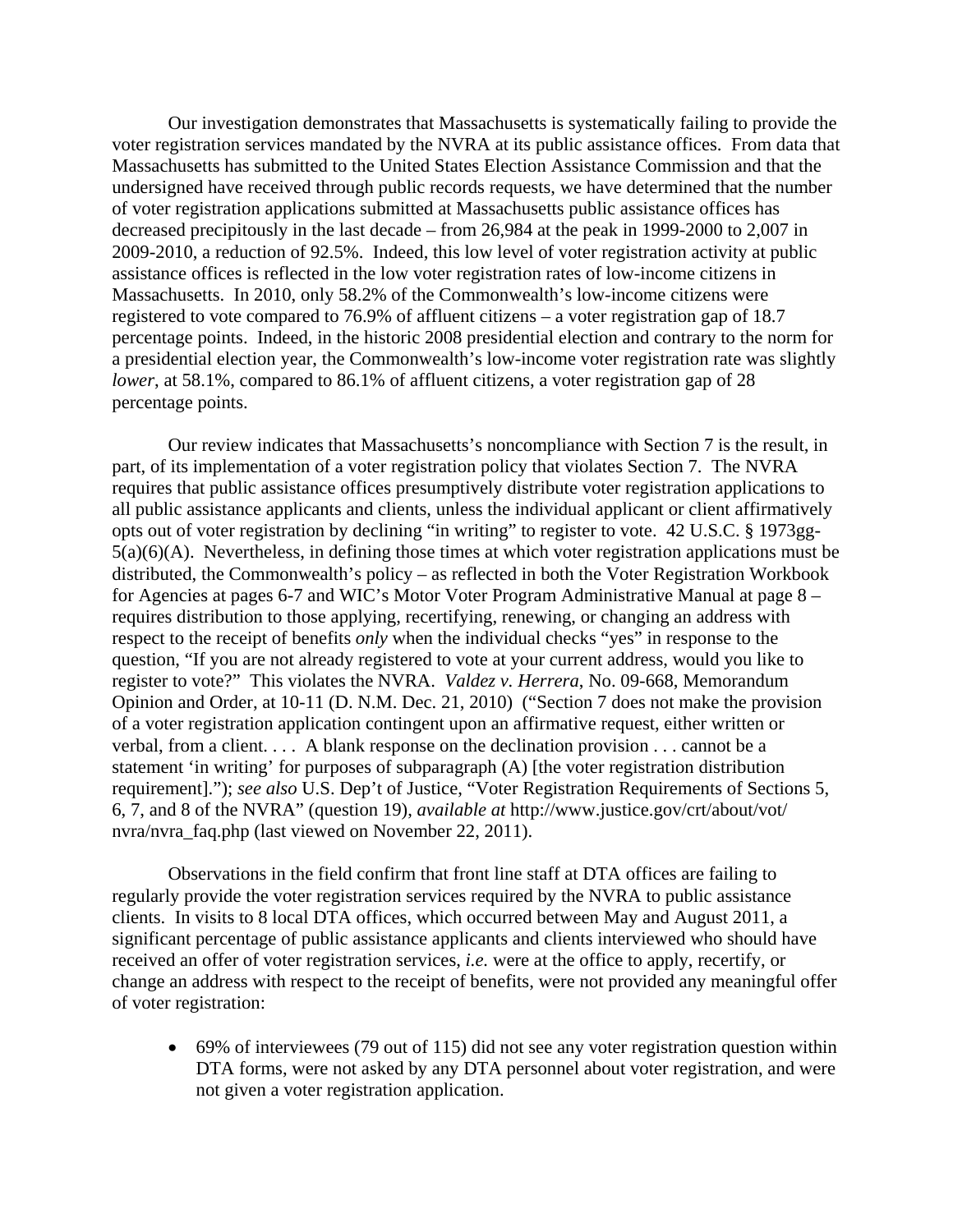Our investigation demonstrates that Massachusetts is systematically failing to provide the voter registration services mandated by the NVRA at its public assistance offices. From data that Massachusetts has submitted to the United States Election Assistance Commission and that the undersigned have received through public records requests, we have determined that the number of voter registration applications submitted at Massachusetts public assistance offices has decreased precipitously in the last decade – from 26,984 at the peak in 1999-2000 to 2,007 in 2009-2010, a reduction of 92.5%. Indeed, this low level of voter registration activity at public assistance offices is reflected in the low voter registration rates of low-income citizens in Massachusetts. In 2010, only 58.2% of the Commonwealth's low-income citizens were registered to vote compared to 76.9% of affluent citizens – a voter registration gap of 18.7 percentage points. Indeed, in the historic 2008 presidential election and contrary to the norm for a presidential election year, the Commonwealth's low-income voter registration rate was slightly *lower*, at 58.1%, compared to 86.1% of affluent citizens, a voter registration gap of 28 percentage points.

Our review indicates that Massachusetts's noncompliance with Section 7 is the result, in part, of its implementation of a voter registration policy that violates Section 7. The NVRA requires that public assistance offices presumptively distribute voter registration applications to all public assistance applicants and clients, unless the individual applicant or client affirmatively opts out of voter registration by declining "in writing" to register to vote. 42 U.S.C. § 1973gg-5(a)(6)(A). Nevertheless, in defining those times at which voter registration applications must be distributed, the Commonwealth's policy – as reflected in both the Voter Registration Workbook for Agencies at pages 6-7 and WIC's Motor Voter Program Administrative Manual at page 8 – requires distribution to those applying, recertifying, renewing, or changing an address with respect to the receipt of benefits *only* when the individual checks "yes" in response to the question, "If you are not already registered to vote at your current address, would you like to register to vote?" This violates the NVRA. *Valdez v. Herrera*, No. 09-668, Memorandum Opinion and Order, at 10-11 (D. N.M. Dec. 21, 2010) ("Section 7 does not make the provision of a voter registration application contingent upon an affirmative request, either written or verbal, from a client. . . . A blank response on the declination provision . . . cannot be a statement 'in writing' for purposes of subparagraph (A) [the voter registration distribution requirement]."); *see also* U.S. Dep't of Justice, "Voter Registration Requirements of Sections 5, 6, 7, and 8 of the NVRA" (question 19), *available at* http://www.justice.gov/crt/about/vot/ nvra/nvra\_faq.php (last viewed on November 22, 2011).

Observations in the field confirm that front line staff at DTA offices are failing to regularly provide the voter registration services required by the NVRA to public assistance clients. In visits to 8 local DTA offices, which occurred between May and August 2011, a significant percentage of public assistance applicants and clients interviewed who should have received an offer of voter registration services, *i.e.* were at the office to apply, recertify, or change an address with respect to the receipt of benefits, were not provided any meaningful offer of voter registration:

• 69% of interviewees (79 out of 115) did not see any voter registration question within DTA forms, were not asked by any DTA personnel about voter registration, and were not given a voter registration application.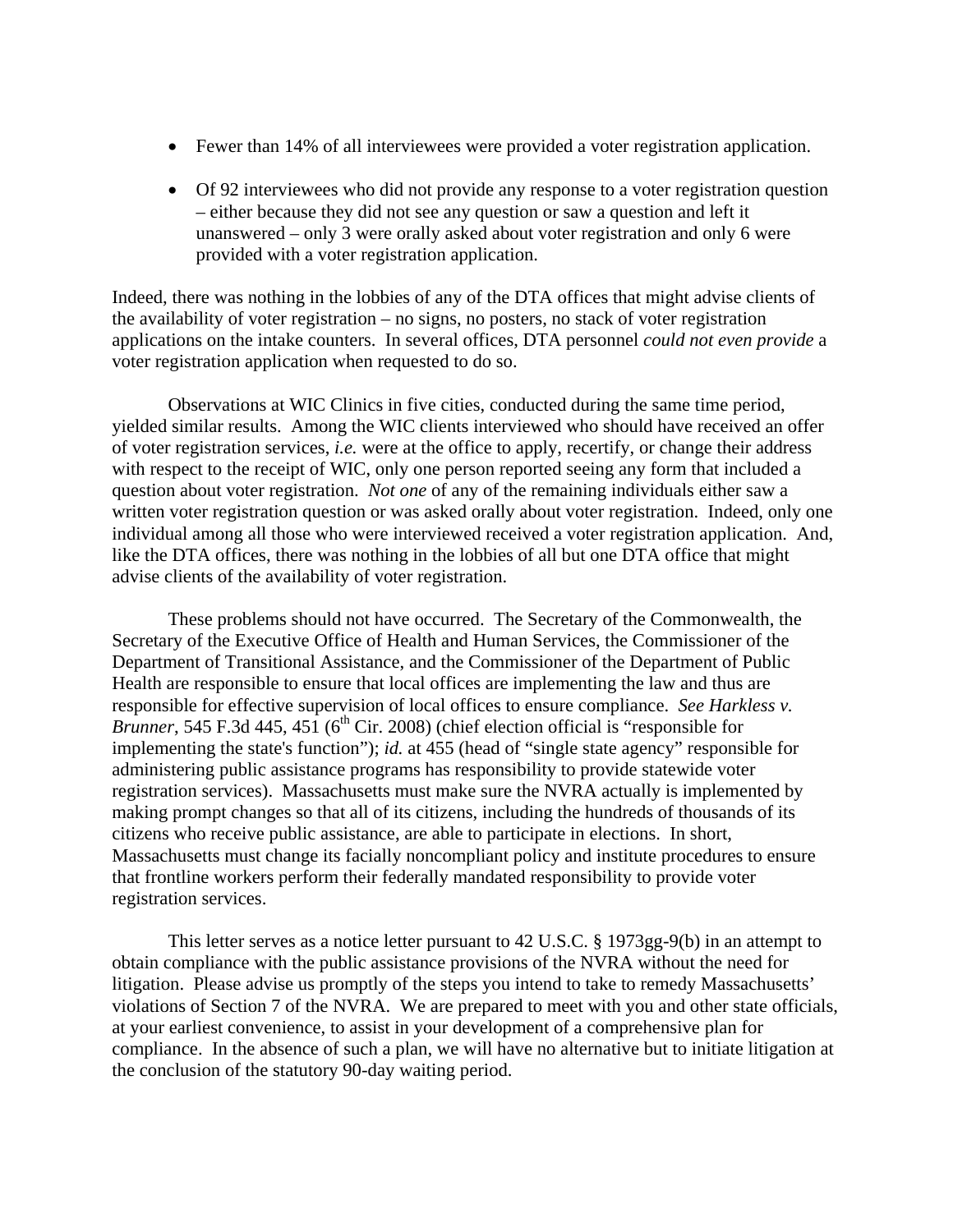- Fewer than 14% of all interviewees were provided a voter registration application.
- Of 92 interviewees who did not provide any response to a voter registration question – either because they did not see any question or saw a question and left it unanswered – only 3 were orally asked about voter registration and only 6 were provided with a voter registration application.

Indeed, there was nothing in the lobbies of any of the DTA offices that might advise clients of the availability of voter registration – no signs, no posters, no stack of voter registration applications on the intake counters. In several offices, DTA personnel *could not even provide* a voter registration application when requested to do so.

Observations at WIC Clinics in five cities, conducted during the same time period, yielded similar results. Among the WIC clients interviewed who should have received an offer of voter registration services, *i.e.* were at the office to apply, recertify, or change their address with respect to the receipt of WIC, only one person reported seeing any form that included a question about voter registration. *Not one* of any of the remaining individuals either saw a written voter registration question or was asked orally about voter registration. Indeed, only one individual among all those who were interviewed received a voter registration application. And, like the DTA offices, there was nothing in the lobbies of all but one DTA office that might advise clients of the availability of voter registration.

These problems should not have occurred. The Secretary of the Commonwealth, the Secretary of the Executive Office of Health and Human Services, the Commissioner of the Department of Transitional Assistance, and the Commissioner of the Department of Public Health are responsible to ensure that local offices are implementing the law and thus are responsible for effective supervision of local offices to ensure compliance. *See Harkless v. Brunner*, 545 F.3d 445, 451 ( $6<sup>th</sup>$  Cir. 2008) (chief election official is "responsible for implementing the state's function"); *id.* at 455 (head of "single state agency" responsible for administering public assistance programs has responsibility to provide statewide voter registration services). Massachusetts must make sure the NVRA actually is implemented by making prompt changes so that all of its citizens, including the hundreds of thousands of its citizens who receive public assistance, are able to participate in elections. In short, Massachusetts must change its facially noncompliant policy and institute procedures to ensure that frontline workers perform their federally mandated responsibility to provide voter registration services.

This letter serves as a notice letter pursuant to 42 U.S.C. § 1973gg-9(b) in an attempt to obtain compliance with the public assistance provisions of the NVRA without the need for litigation. Please advise us promptly of the steps you intend to take to remedy Massachusetts' violations of Section 7 of the NVRA. We are prepared to meet with you and other state officials, at your earliest convenience, to assist in your development of a comprehensive plan for compliance. In the absence of such a plan, we will have no alternative but to initiate litigation at the conclusion of the statutory 90-day waiting period.